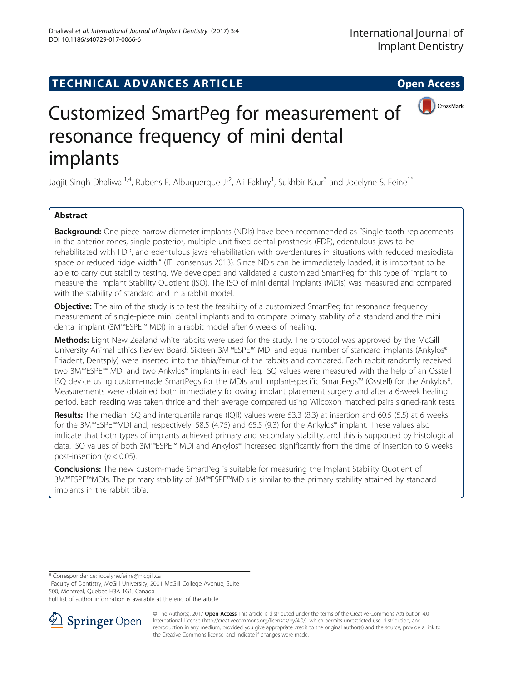## TECHNICAL ADVANCES ARTICLE **THE SERVICE SERVICE SERVICE** Open Access



# Customized SmartPeg for measurement of resonance frequency of mini dental implants

Jagjit Singh Dhaliwal<sup>1,4</sup>, Rubens F. Albuquerque Jr<sup>2</sup>, Ali Fakhry<sup>1</sup>, Sukhbir Kaur<sup>3</sup> and Jocelyne S. Feine<sup>1\*</sup>

## Abstract

**Background:** One-piece narrow diameter implants (NDIs) have been recommended as "Single-tooth replacements in the anterior zones, single posterior, multiple-unit fixed dental prosthesis (FDP), edentulous jaws to be rehabilitated with FDP, and edentulous jaws rehabilitation with overdentures in situations with reduced mesiodistal space or reduced ridge width." (ITI consensus 2013). Since NDIs can be immediately loaded, it is important to be able to carry out stability testing. We developed and validated a customized SmartPeg for this type of implant to measure the Implant Stability Quotient (ISQ). The ISQ of mini dental implants (MDIs) was measured and compared with the stability of standard and in a rabbit model.

**Objective:** The aim of the study is to test the feasibility of a customized SmartPeg for resonance frequency measurement of single-piece mini dental implants and to compare primary stability of a standard and the mini dental implant (3M™ESPE™ MDI) in a rabbit model after 6 weeks of healing.

Methods: Eight New Zealand white rabbits were used for the study. The protocol was approved by the McGill University Animal Ethics Review Board. Sixteen 3M™ESPE™ MDI and equal number of standard implants (Ankylos® Friadent, Dentsply) were inserted into the tibia/femur of the rabbits and compared. Each rabbit randomly received two 3M™ESPE™ MDI and two Ankylos® implants in each leg. ISQ values were measured with the help of an Osstell ISQ device using custom-made SmartPegs for the MDIs and implant-specific SmartPegs™ (Osstell) for the Ankylos®. Measurements were obtained both immediately following implant placement surgery and after a 6-week healing period. Each reading was taken thrice and their average compared using Wilcoxon matched pairs signed-rank tests.

Results: The median ISQ and interquartile range (IQR) values were 53.3 (8.3) at insertion and 60.5 (5.5) at 6 weeks for the 3M™ESPE™MDI and, respectively, 58.5 (4.75) and 65.5 (9.3) for the Ankylos® implant. These values also indicate that both types of implants achieved primary and secondary stability, and this is supported by histological data. ISQ values of both 3M™ESPE™ MDI and Ankylos® increased significantly from the time of insertion to 6 weeks post-insertion ( $p < 0.05$ ).

**Conclusions:** The new custom-made SmartPeg is suitable for measuring the Implant Stability Quotient of 3M™ESPE™MDIs. The primary stability of 3M™ESPE™MDIs is similar to the primary stability attained by standard implants in the rabbit tibia.

\* Correspondence: [jocelyne.feine@mcgill.ca](mailto:jocelyne.feine@mcgill.ca) <sup>1</sup>

<sup>1</sup>Faculty of Dentistry, McGill University, 2001 McGill College Avenue, Suite 500, Montreal, Quebec H3A 1G1, Canada

Full list of author information is available at the end of the article



<sup>©</sup> The Author(s). 2017 **Open Access** This article is distributed under the terms of the Creative Commons Attribution 4.0 International License ([http://creativecommons.org/licenses/by/4.0/\)](http://creativecommons.org/licenses/by/4.0/), which permits unrestricted use, distribution, and reproduction in any medium, provided you give appropriate credit to the original author(s) and the source, provide a link to the Creative Commons license, and indicate if changes were made.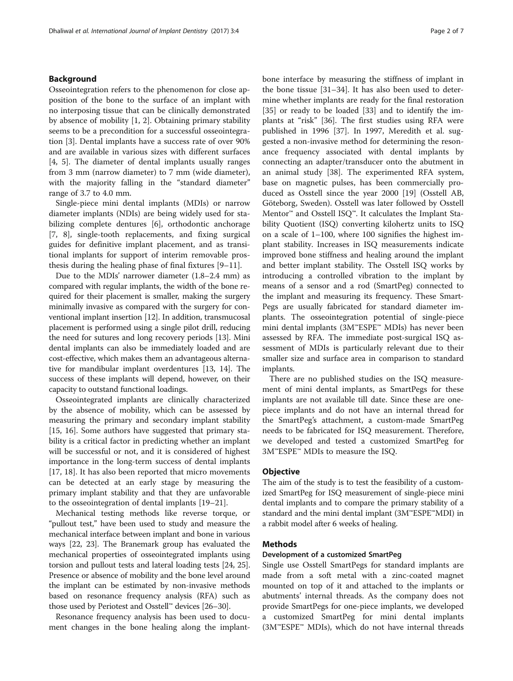### Background

Osseointegration refers to the phenomenon for close apposition of the bone to the surface of an implant with no interposing tissue that can be clinically demonstrated by absence of mobility [[1, 2\]](#page-5-0). Obtaining primary stability seems to be a precondition for a successful osseointegration [\[3](#page-5-0)]. Dental implants have a success rate of over 90% and are available in various sizes with different surfaces [[4, 5\]](#page-5-0). The diameter of dental implants usually ranges from 3 mm (narrow diameter) to 7 mm (wide diameter), with the majority falling in the "standard diameter" range of 3.7 to 4.0 mm.

Single-piece mini dental implants (MDIs) or narrow diameter implants (NDIs) are being widely used for stabilizing complete dentures [\[6\]](#page-5-0), orthodontic anchorage [[7, 8](#page-5-0)], single-tooth replacements, and fixing surgical guides for definitive implant placement, and as transitional implants for support of interim removable prosthesis during the healing phase of final fixtures [\[9](#page-5-0)–[11\]](#page-5-0).

Due to the MDIs' narrower diameter (1.8–2.4 mm) as compared with regular implants, the width of the bone required for their placement is smaller, making the surgery minimally invasive as compared with the surgery for conventional implant insertion [[12\]](#page-5-0). In addition, transmucosal placement is performed using a single pilot drill, reducing the need for sutures and long recovery periods [\[13\]](#page-5-0). Mini dental implants can also be immediately loaded and are cost-effective, which makes them an advantageous alternative for mandibular implant overdentures [\[13](#page-5-0), [14\]](#page-5-0). The success of these implants will depend, however, on their capacity to outstand functional loadings.

Osseointegrated implants are clinically characterized by the absence of mobility, which can be assessed by measuring the primary and secondary implant stability [[15, 16](#page-5-0)]. Some authors have suggested that primary stability is a critical factor in predicting whether an implant will be successful or not, and it is considered of highest importance in the long-term success of dental implants [[17, 18\]](#page-5-0). It has also been reported that micro movements can be detected at an early stage by measuring the primary implant stability and that they are unfavorable to the osseointegration of dental implants [[19](#page-5-0)–[21\]](#page-5-0).

Mechanical testing methods like reverse torque, or "pullout test," have been used to study and measure the mechanical interface between implant and bone in various ways [[22](#page-5-0), [23\]](#page-5-0). The Branemark group has evaluated the mechanical properties of osseointegrated implants using torsion and pullout tests and lateral loading tests [[24](#page-5-0), [25](#page-5-0)]. Presence or absence of mobility and the bone level around the implant can be estimated by non-invasive methods based on resonance frequency analysis (RFA) such as those used by Periotest and Osstell™ devices [[26](#page-5-0)–[30\]](#page-5-0).

Resonance frequency analysis has been used to document changes in the bone healing along the implantbone interface by measuring the stiffness of implant in the bone tissue [\[31](#page-5-0)–[34\]](#page-5-0). It has also been used to determine whether implants are ready for the final restoration [[35\]](#page-5-0) or ready to be loaded [\[33\]](#page-5-0) and to identify the implants at "risk" [\[36\]](#page-5-0). The first studies using RFA were published in 1996 [\[37](#page-5-0)]. In 1997, Meredith et al. suggested a non-invasive method for determining the resonance frequency associated with dental implants by connecting an adapter/transducer onto the abutment in an animal study [[38\]](#page-5-0). The experimented RFA system, base on magnetic pulses, has been commercially produced as Osstell since the year 2000 [\[19](#page-5-0)] (Osstell AB, Göteborg, Sweden). Osstell was later followed by Osstell Mentor™ and Osstell ISQ™. It calculates the Implant Stability Quotient (ISQ) converting kilohertz units to ISQ on a scale of 1–100, where 100 signifies the highest implant stability. Increases in ISQ measurements indicate improved bone stiffness and healing around the implant and better implant stability. The Osstell ISQ works by introducing a controlled vibration to the implant by means of a sensor and a rod (SmartPeg) connected to the implant and measuring its frequency. These Smart-Pegs are usually fabricated for standard diameter implants. The osseointegration potential of single-piece mini dental implants (3M™ESPE™ MDIs) has never been assessed by RFA. The immediate post-surgical ISQ assessment of MDIs is particularly relevant due to their smaller size and surface area in comparison to standard implants.

There are no published studies on the ISQ measurement of mini dental implants, as SmartPegs for these implants are not available till date. Since these are onepiece implants and do not have an internal thread for the SmartPeg's attachment, a custom-made SmartPeg needs to be fabricated for ISQ measurement. Therefore, we developed and tested a customized SmartPeg for 3M™ESPE™ MDIs to measure the ISQ.

#### **Objective**

The aim of the study is to test the feasibility of a customized SmartPeg for ISQ measurement of single-piece mini dental implants and to compare the primary stability of a standard and the mini dental implant (3M™ESPE™MDI) in a rabbit model after 6 weeks of healing.

### Methods

#### Development of a customized SmartPeg

Single use Osstell SmartPegs for standard implants are made from a soft metal with a zinc-coated magnet mounted on top of it and attached to the implants or abutments' internal threads. As the company does not provide SmartPegs for one-piece implants, we developed a customized SmartPeg for mini dental implants  $(3M^{\omega}ESPE^{\omega} MDIS)$ , which do not have internal threads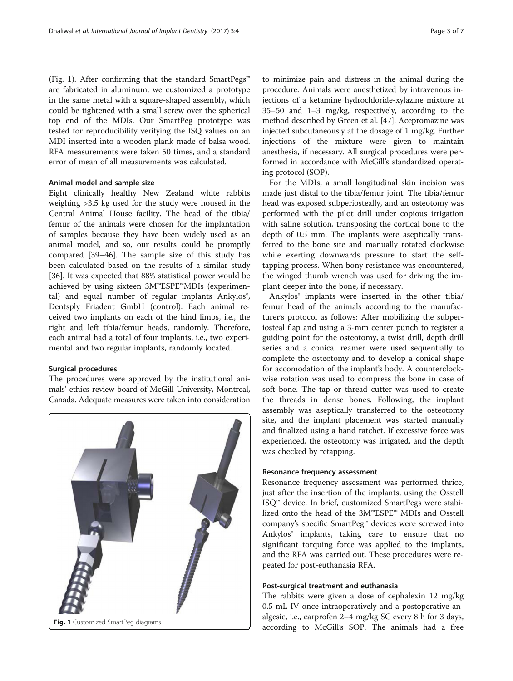(Fig. 1). After confirming that the standard SmartPegs™ are fabricated in aluminum, we customized a prototype in the same metal with a square-shaped assembly, which could be tightened with a small screw over the spherical top end of the MDIs. Our SmartPeg prototype was tested for reproducibility verifying the ISQ values on an MDI inserted into a wooden plank made of balsa wood. RFA measurements were taken 50 times, and a standard error of mean of all measurements was calculated.

#### Animal model and sample size

Eight clinically healthy New Zealand white rabbits weighing >3.5 kg used for the study were housed in the Central Animal House facility. The head of the tibia/ femur of the animals were chosen for the implantation of samples because they have been widely used as an animal model, and so, our results could be promptly compared [[39](#page-5-0)–[46](#page-6-0)]. The sample size of this study has been calculated based on the results of a similar study [[36\]](#page-5-0). It was expected that 88% statistical power would be achieved by using sixteen 3M™ESPE™MDIs (experimental) and equal number of regular implants Ankylos<sup>®</sup>, Dentsply Friadent GmbH (control). Each animal received two implants on each of the hind limbs, i.e., the right and left tibia/femur heads, randomly. Therefore, each animal had a total of four implants, i.e., two experimental and two regular implants, randomly located.

#### Surgical procedures

The procedures were approved by the institutional animals' ethics review board of McGill University, Montreal, Canada. Adequate measures were taken into consideration



to minimize pain and distress in the animal during the procedure. Animals were anesthetized by intravenous injections of a ketamine hydrochloride-xylazine mixture at 35–50 and 1–3 mg/kg, respectively, according to the method described by Green et al. [\[47\]](#page-6-0). Acepromazine was injected subcutaneously at the dosage of 1 mg/kg. Further injections of the mixture were given to maintain anesthesia, if necessary. All surgical procedures were performed in accordance with McGill's standardized operating protocol (SOP).

For the MDIs, a small longitudinal skin incision was made just distal to the tibia/femur joint. The tibia/femur head was exposed subperiosteally, and an osteotomy was performed with the pilot drill under copious irrigation with saline solution, transposing the cortical bone to the depth of 0.5 mm. The implants were aseptically transferred to the bone site and manually rotated clockwise while exerting downwards pressure to start the selftapping process. When bony resistance was encountered, the winged thumb wrench was used for driving the implant deeper into the bone, if necessary.

Ankylos® implants were inserted in the other tibia/ femur head of the animals according to the manufacturer's protocol as follows: After mobilizing the subperiosteal flap and using a 3-mm center punch to register a guiding point for the osteotomy, a twist drill, depth drill series and a conical reamer were used sequentially to complete the osteotomy and to develop a conical shape for accomodation of the implant's body. A counterclockwise rotation was used to compress the bone in case of soft bone. The tap or thread cutter was used to create the threads in dense bones. Following, the implant assembly was aseptically transferred to the osteotomy site, and the implant placement was started manually and finalized using a hand ratchet. If excessive force was experienced, the osteotomy was irrigated, and the depth was checked by retapping.

#### Resonance frequency assessment

Resonance frequency assessment was performed thrice, just after the insertion of the implants, using the Osstell ISQ™ device. In brief, customized SmartPegs were stabilized onto the head of the 3M™ESPE™ MDIs and Osstell company's specific SmartPeg™ devices were screwed into Ankylos® implants, taking care to ensure that no significant torquing force was applied to the implants, and the RFA was carried out. These procedures were repeated for post-euthanasia RFA.

### Post-surgical treatment and euthanasia

The rabbits were given a dose of cephalexin 12 mg/kg 0.5 mL IV once intraoperatively and a postoperative analgesic, i.e., carprofen 2–4 mg/kg SC every 8 h for 3 days,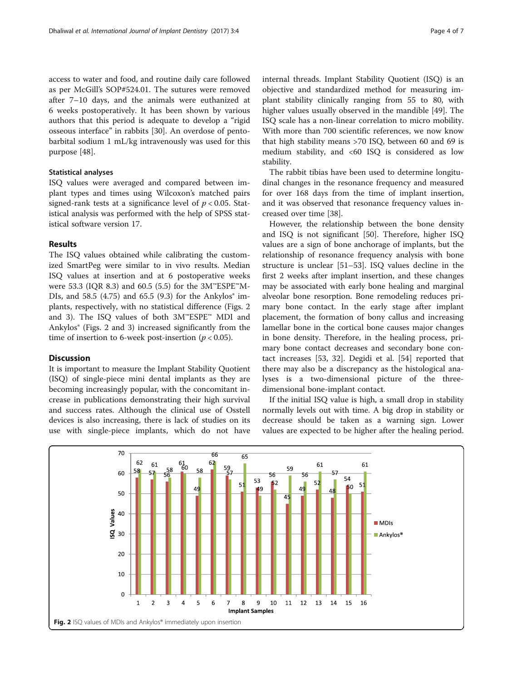access to water and food, and routine daily care followed as per McGill's SOP#524.01. The sutures were removed after 7–10 days, and the animals were euthanized at 6 weeks postoperatively. It has been shown by various authors that this period is adequate to develop a "rigid osseous interface" in rabbits [[30\]](#page-5-0). An overdose of pentobarbital sodium 1 mL/kg intravenously was used for this purpose [[48](#page-6-0)].

## Statistical analyses

ISQ values were averaged and compared between implant types and times using Wilcoxon's matched pairs signed-rank tests at a significance level of  $p < 0.05$ . Statistical analysis was performed with the help of SPSS statistical software version 17.

## Results

The ISQ values obtained while calibrating the customized SmartPeg were similar to in vivo results. Median ISQ values at insertion and at 6 postoperative weeks were 53.3 (IQR 8.3) and 60.5 (5.5) for the 3M™ESPE™M-DIs, and 58.5 (4.75) and 65.5 (9.3) for the Ankylos $\degree$  implants, respectively, with no statistical difference (Figs. 2 and [3\)](#page-4-0). The ISQ values of both 3M™ESPE™ MDI and Ankylos® (Figs. 2 and [3](#page-4-0)) increased significantly from the time of insertion to 6-week post-insertion ( $p < 0.05$ ).

#### Discussion

It is important to measure the Implant Stability Quotient (ISQ) of single-piece mini dental implants as they are becoming increasingly popular, with the concomitant increase in publications demonstrating their high survival and success rates. Although the clinical use of Osstell devices is also increasing, there is lack of studies on its use with single-piece implants, which do not have internal threads. Implant Stability Quotient (ISQ) is an objective and standardized method for measuring implant stability clinically ranging from 55 to 80, with higher values usually observed in the mandible [\[49](#page-6-0)]. The ISQ scale has a non-linear correlation to micro mobility. With more than 700 scientific references, we now know that high stability means >70 ISQ, between 60 and 69 is medium stability, and <60 ISQ is considered as low stability.

The rabbit tibias have been used to determine longitudinal changes in the resonance frequency and measured for over 168 days from the time of implant insertion, and it was observed that resonance frequency values increased over time [\[38\]](#page-5-0).

However, the relationship between the bone density and ISQ is not significant [[50\]](#page-6-0). Therefore, higher ISQ values are a sign of bone anchorage of implants, but the relationship of resonance frequency analysis with bone structure is unclear [[51](#page-6-0)–[53](#page-6-0)]. ISQ values decline in the first 2 weeks after implant insertion, and these changes may be associated with early bone healing and marginal alveolar bone resorption. Bone remodeling reduces primary bone contact. In the early stage after implant placement, the formation of bony callus and increasing lamellar bone in the cortical bone causes major changes in bone density. Therefore, in the healing process, primary bone contact decreases and secondary bone contact increases [\[53,](#page-6-0) [32](#page-5-0)]. Degidi et al. [[54](#page-6-0)] reported that there may also be a discrepancy as the histological analyses is a two-dimensional picture of the threedimensional bone-implant contact.

If the initial ISQ value is high, a small drop in stability normally levels out with time. A big drop in stability or decrease should be taken as a warning sign. Lower values are expected to be higher after the healing period.

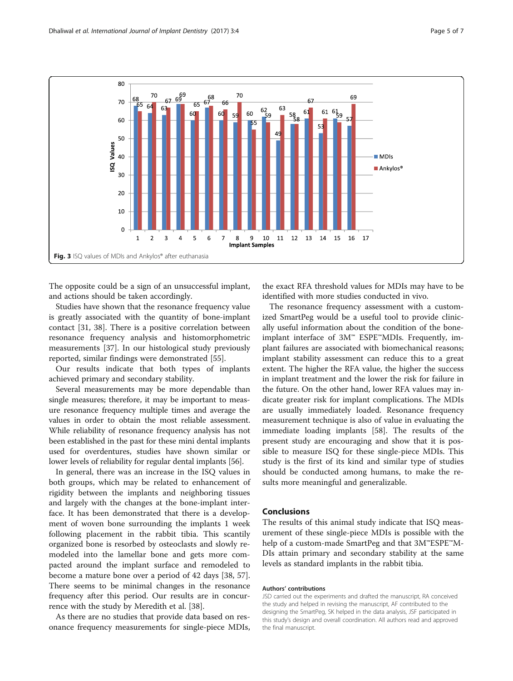<span id="page-4-0"></span>

The opposite could be a sign of an unsuccessful implant, and actions should be taken accordingly.

Studies have shown that the resonance frequency value is greatly associated with the quantity of bone-implant contact [[31](#page-5-0), [38\]](#page-5-0). There is a positive correlation between resonance frequency analysis and histomorphometric measurements [\[37\]](#page-5-0). In our histological study previously reported, similar findings were demonstrated [\[55](#page-6-0)].

Our results indicate that both types of implants achieved primary and secondary stability.

Several measurements may be more dependable than single measures; therefore, it may be important to measure resonance frequency multiple times and average the values in order to obtain the most reliable assessment. While reliability of resonance frequency analysis has not been established in the past for these mini dental implants used for overdentures, studies have shown similar or lower levels of reliability for regular dental implants [\[56\]](#page-6-0).

In general, there was an increase in the ISQ values in both groups, which may be related to enhancement of rigidity between the implants and neighboring tissues and largely with the changes at the bone-implant interface. It has been demonstrated that there is a development of woven bone surrounding the implants 1 week following placement in the rabbit tibia. This scantily organized bone is resorbed by osteoclasts and slowly remodeled into the lamellar bone and gets more compacted around the implant surface and remodeled to become a mature bone over a period of 42 days [\[38](#page-5-0), [57](#page-6-0)]. There seems to be minimal changes in the resonance frequency after this period. Our results are in concurrence with the study by Meredith et al. [\[38](#page-5-0)].

As there are no studies that provide data based on resonance frequency measurements for single-piece MDIs,

the exact RFA threshold values for MDIs may have to be identified with more studies conducted in vivo.

The resonance frequency assessment with a customized SmartPeg would be a useful tool to provide clinically useful information about the condition of the boneimplant interface of 3M™ ESPE™MDIs. Frequently, implant failures are associated with biomechanical reasons; implant stability assessment can reduce this to a great extent. The higher the RFA value, the higher the success in implant treatment and the lower the risk for failure in the future. On the other hand, lower RFA values may indicate greater risk for implant complications. The MDIs are usually immediately loaded. Resonance frequency measurement technique is also of value in evaluating the immediate loading implants [[58\]](#page-6-0). The results of the present study are encouraging and show that it is possible to measure ISQ for these single-piece MDIs. This study is the first of its kind and similar type of studies should be conducted among humans, to make the results more meaningful and generalizable.

## Conclusions

The results of this animal study indicate that ISQ measurement of these single-piece MDIs is possible with the help of a custom-made SmartPeg and that 3M™ESPE™M-DIs attain primary and secondary stability at the same levels as standard implants in the rabbit tibia.

#### Authors' contributions

JSD carried out the experiments and drafted the manuscript, RA conceived the study and helped in revising the manuscript, AF contributed to the designing the SmartPeg, SK helped in the data analysis, JSF participated in this study's design and overall coordination. All authors read and approved the final manuscript.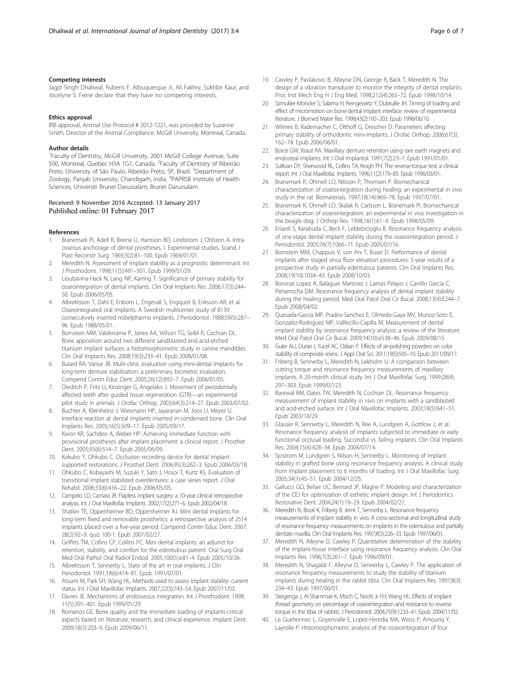#### <span id="page-5-0"></span>Competing interests

Jagjit Singh Dhaliwal, Rubens F. Albuquerque Jr, Ali Fakhry, Sukhbir Kaur, and Jocelyne S. Feine declare that they have no competing interests.

#### Ethics approval

IRB approval, Animal Use Protocol # 2012-7221, was provided by Suzanne Smith, Director of the Animal Compliance, McGill University, Montreal, Canada.

#### Author details

<sup>1</sup>Faculty of Dentistry, McGill University, 2001 McGill College Avenue, Suite 500, Montreal, Quebec H3A 1G1, Canada. <sup>2</sup> Faculty of Dentistry of Ribeirão Preto, University of São Paulo, Ribeirão Preto, SP, Brazil. <sup>3</sup>Department of Zoology, Panjab University, Chandigarh, India. <sup>4</sup>PAPRSB Institute of Health Sciences, Universiti Brunei Darussalam, Brunei Darussalam.

#### Received: 9 November 2016 Accepted: 13 January 2017 Published online: 01 February 2017

#### References

- Branemark PI, Adell R, Breine U, Hansson BO, Lindstrom J, Ohlsson A. Intraosseous anchorage of dental prostheses. I. Experimental studies. Scand J Plast Reconstr Surg. 1969;3(2):81–100. Epub 1969/01/01.
- 2. Meredith N. Assessment of implant stability as a prognostic determinant. Int J Prosthodont. 1998;11(5):491–501. Epub 1999/01/29.
- 3. Lioubavina-Hack N, Lang NP, Karring T. Significance of primary stability for osseointegration of dental implants. Clin Oral Implants Res. 2006;17(3):244– 50. Epub 2006/05/05.
- 4. Albrektsson T, Dahl E, Enbom L, Engevall S, Engquist B, Eriksson AR, et al. Osseointegrated oral implants. A Swedish multicenter study of 8139 consecutively inserted nobelpharma implants. J Periodontol. 1988;59(5):287– 96. Epub 1988/05/01.
- 5. Bornstein MM, Valderrama P, Jones AA, Wilson TG, Seibl R, Cochran DL. Bone apposition around two different sandblasted and acid-etched titanium implant surfaces: a histomorphometric study in canine mandibles. Clin Oral Implants Res. 2008;19(3):233–41. Epub 2008/01/08.
- 6. Bulard RA, Vance JB. Multi-clinic evaluation using mini-dental implants for long-term denture stabilization: a preliminary biometric evaluation. Compend Contin Educ Dent. 2005;26(12):892–7. Epub 2006/01/05.
- 7. Diedrich P, Fritz U, Kinzinger G, Angelakis J. Movement of periodontally affected teeth after guided tissue regeneration (GTR)—an experimental pilot study in animals. J Orofac Orthop. 2003;64(3):214–27. Epub 2003/07/02.
- 8. Buchter A, Kleinheinz J, Wiesmann HP, Jayaranan M, Joos U, Meyer U. Interface reaction at dental implants inserted in condensed bone. Clin Oral Implants Res. 2005;16(5):509–17. Epub 2005/09/17.
- Kwon KR, Sachdeo A, Weber HP. Achieving immediate function with provisional prostheses after implant placement: a clinical report. J Prosthet Dent. 2005;93(6):514–7. Epub 2005/06/09.
- 10. Kokubo Y, Ohkubo C. Occlusion recording device for dental implantsupported restorations. J Prosthet Dent. 2006;95(3):262–3. Epub 2006/03/18.
- 11. Ohkubo C, Kobayashi M, Suzuki Y, Sato J, Hosoi T, Kurtz KS. Evaluation of transitional implant stabilized overdentures: a case series report. J Oral Rehabil. 2006;33(6):416–22. Epub 2006/05/05.
- 12. Campelo LD, Camara JR. Flapless implant surgery: a 10-year clinical retrospective analysis. Int J Oral Maxillofac Implants. 2002;17(2):271–6. Epub 2002/04/18.
- 13. Shatkin TE, Oppenheimer BD, Oppenheimer AJ. Mini dental implants for long-term fixed and removable prosthetics: a retrospective analysis of 2514 implants placed over a five-year period. Compend Contin Educ Dent. 2007; 28(2):92–9. quiz 100-1. Epub 2007/02/27.
- 14. Griffitts TM, Collins CP, Collins PC. Mini dental implants: an adjunct for retention, stability, and comfort for the edentulous patient. Oral Surg Oral Med Oral Pathol Oral Radiol Endod. 2005;100(5):e81–4. Epub 2005/10/26.
- 15. Albrektsson T, Sennerby L. State of the art in oral implants. J Clin Periodontol. 1991;18(6):474–81. Epub 1991/07/01.
- 16. Atsumi M, Park SH, Wang HL. Methods used to assess implant stability: current status. Int J Oral Maxillofac Implants. 2007;22(5):743–54. Epub 2007/11/03.
- 17. Davies JE. Mechanisms of endosseous integration. Int J Prosthodont. 1998; 11(5):391–401. Epub 1999/01/29.
- 18. Romanos GE. Bone quality and the immediate loading of implants-critical aspects based on literature, research, and clinical experience. Implant Dent. 2009;18(3):203–9. Epub 2009/06/11.
- 19. Cawley P, Pavlakovic B, Alleyne DN, George R, Back T, Meredith N. The design of a vibration transducer to monitor the integrity of dental implants. Proc Inst Mech Eng H J Eng Med. 1998;212(4):265–72. Epub 1998/10/14.
- 20. Szmukler-Moncler S, Salama H, Reingewirtz Y, Dubruille JH. Timing of loading and effect of micromotion on bone-dental implant interface: review of experimental literature. J Biomed Mater Res. 1998;43(2):192–203. Epub 1998/06/10.
- 21. Wilmes B, Rademacher C, Olthoff G, Drescher D. Parameters affecting primary stability of orthodontic mini-implants. J Orofac Orthop. 2006;67(3): 162–74. Epub 2006/06/01.
- 22. Boice GW, Kraut RA. Maxillary denture retention using rare earth magnets and endosteal implants. Int J Oral Implantol. 1991;7(2):23–7. Epub 1991/01/01.
- 23. Sullivan DY, Sherwood RL, Collins TA, Krogh PH. The reverse-torque test: a clinical report. Int J Oral Maxillofac Implants. 1996;11(2):179–85. Epub 1996/03/01.
- 24. Branemark R, Ohrnell LO, Nilsson P, Thomsen P. Biomechanical characterization of osseointegration during healing: an experimental in vivo study in the rat. Biomaterials. 1997;18(14):969–78. Epub 1997/07/01.
- 25. Branemark R, Ohrnell LO, Skalak R, Carlsson L, Branemark PI. Biomechanical characterization of osseointegration: an experimental in vivo investigation in the beagle dog. J Orthop Res. 1998;16(1):61–9. Epub 1998/05/09.
- 26. Ersanli S, Karabuda C, Beck F, Leblebicioglu B. Resonance frequency analysis of one-stage dental implant stability during the osseointegration period. J Periodontol. 2005;76(7):1066–71. Epub 2005/07/16.
- 27. Bornstein MM, Chappuis V, von Arx T, Buser D. Performance of dental implants after staged sinus floor elevation procedures: 5-year results of a prospective study in partially edentulous patients. Clin Oral Implants Res. 2008;19(10):1034–43. Epub 2008/10/03.
- 28. Boronat Lopez A, Balaguer Martinez J, Lamas Pelayo J, Carrillo Garcia C, Penarrocha DM. Resonance frequency analysis of dental implant stability during the healing period. Med Oral Patol Oral Cir Bucal. 2008;13(4):E244–7. Epub 2008/04/02.
- 29. Quesada-Garcia MP, Prados-Sanchez E, Olmedo-Gaya MV, Munoz-Soto E, Gonzalez-Rodriguez MP, Valllecillo-Capilla M. Measurement of dental implant stability by resonance frequency analysis: a review of the literature. Med Oral Patol Oral Cir Bucal. 2009;14(10):e538–46. Epub 2009/08/15.
- 30. Guler AU, Duran I, Yucel AC, Ozkan P. Effects of air-polishing powders on color stability of composite resins. J Appl Oral Sci. 2011;19(5):505–10. Epub 2011/09/17.
- 31. Friberg B, Sennerby L, Meredith N, Lekholm U. A comparison between cutting torque and resonance frequency measurements of maxillary implants. A 20-month clinical study. Int J Oral Maxillofac Surg. 1999;28(4): 297–303. Epub 1999/07/23.
- 32. Barewal RM, Oates TW, Meredith N, Cochran DL. Resonance frequency measurement of implant stability in vivo on implants with a sandblasted and acid-etched surface. Int J Oral Maxillofac Implants. 2003;18(5):641–51. Epub 2003/10/29.
- 33. Glauser R, Sennerby L, Meredith N, Ree A, Lundgren A, Gottlow J, et al. Resonance frequency analysis of implants subjected to immediate or early functional occlusal loading. Successful vs. failing implants. Clin Oral Implants Res. 2004;15(4):428–34. Epub 2004/07/14.
- 34. Sjostrom M, Lundgren S, Nilson H, Sennerby L. Monitoring of implant stability in grafted bone using resonance frequency analysis. A clinical study from implant placement to 6 months of loading. Int J Oral Maxillofac Surg. 2005;34(1):45–51. Epub 2004/12/25.
- 35. Gallucci GO, Belser UC, Bernard JP, Magne P. Modeling and characterization of the CEJ for optimization of esthetic implant design. Int J Periodontics Restorative Dent. 2004;24(1):19–29. Epub 2004/02/27.
- 36. Meredith N, Book K, Friberg B, Jemt T, Sennerby L. Resonance frequency measurements of implant stability in vivo. A cross-sectional and longitudinal study of resonance frequency measurements on implants in the edentulous and partially dentate maxilla. Clin Oral Implants Res. 1997;8(3):226–33. Epub 1997/06/01.
- 37. Meredith N, Alleyne D, Cawley P. Quantitative determination of the stability of the implant-tissue interface using resonance frequency analysis. Clin Oral Implants Res. 1996;7(3):261–7. Epub 1996/09/01.
- 38. Meredith N, Shagaldi F, Alleyne D, Sennerby L, Cawley P. The application of resonance frequency measurements to study the stability of titanium implants during healing in the rabbit tibia. Clin Oral Implants Res. 1997;8(3): 234–43. Epub 1997/06/01.
- 39. Steigenga J, Al-Shammari K, Misch C, Nociti Jr FH, Wang HL. Effects of implant thread geometry on percentage of osseointegration and resistance to reverse torque in the tibia of rabbits. J Periodontol. 2004;75(9):1233–41. Epub 2004/11/02.
- 40. Le Guehennec L, Goyenvalle E, Lopez-Heredia MA, Weiss P, Amouriq Y, Layrolle P. Histomorphometric analysis of the osseointegration of four